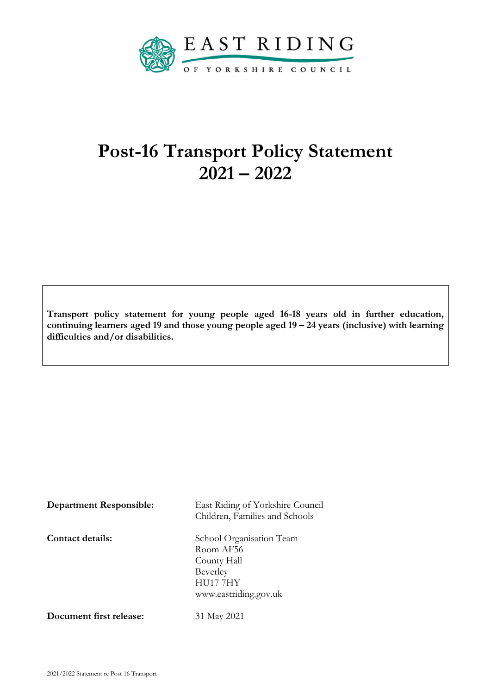

# **Post-16 Transport Policy Statement 2021 – 2022**

**Transport policy statement for young people aged 16-18 years old in further education, continuing learners aged 19 and those young people aged 19 – 24 years (inclusive) with learning difficulties and/or disabilities.**

| <b>Department Responsible:</b> | East Riding of Yorkshire Council<br>Children, Families and Schools                                           |
|--------------------------------|--------------------------------------------------------------------------------------------------------------|
| <b>Contact details:</b>        | School Organisation Team<br>Room AF56<br>County Hall<br>Beverley<br><b>HU17 7HY</b><br>www.eastriding.gov.uk |
| Document first release:        | 31 May 2021                                                                                                  |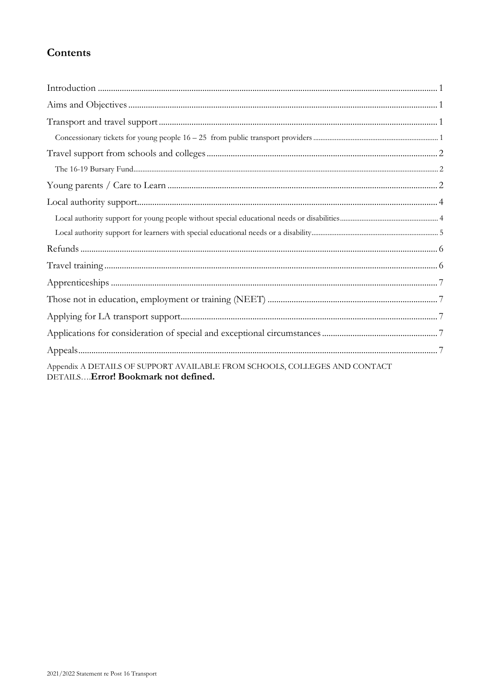# Contents

| Appendix A DETAILS OF SUPPORT AVAILABLE FROM SCHOOLS, COLLEGES AND CONTACT<br>DETAILS Error! Bookmark not defined. |
|--------------------------------------------------------------------------------------------------------------------|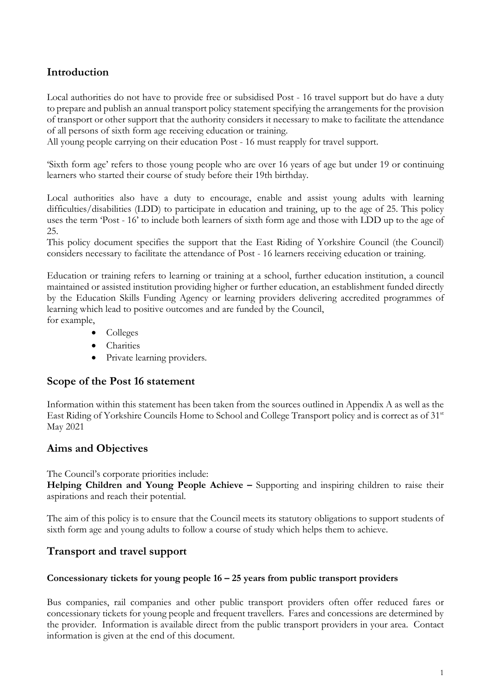# <span id="page-2-0"></span>**Introduction**

Local authorities do not have to provide free or subsidised Post - 16 travel support but do have a duty to prepare and publish an annual transport policy statement specifying the arrangements for the provision of transport or other support that the authority considers it necessary to make to facilitate the attendance of all persons of sixth form age receiving education or training.

All young people carrying on their education Post - 16 must reapply for travel support.

'Sixth form age' refers to those young people who are over 16 years of age but under 19 or continuing learners who started their course of study before their 19th birthday.

Local authorities also have a duty to encourage, enable and assist young adults with learning difficulties/disabilities (LDD) to participate in education and training, up to the age of 25. This policy uses the term 'Post - 16' to include both learners of sixth form age and those with LDD up to the age of 25.

This policy document specifies the support that the East Riding of Yorkshire Council (the Council) considers necessary to facilitate the attendance of Post - 16 learners receiving education or training.

Education or training refers to learning or training at a school, further education institution, a council maintained or assisted institution providing higher or further education, an establishment funded directly by the Education Skills Funding Agency or learning providers delivering accredited programmes of learning which lead to positive outcomes and are funded by the Council, for example,

- Colleges
- **Charities**
- Private learning providers.

## **Scope of the Post 16 statement**

Information within this statement has been taken from the sources outlined in Appendix A as well as the East Riding of Yorkshire Councils Home to School and College Transport policy and is correct as of 31<sup>st</sup> May 2021

## <span id="page-2-1"></span>**Aims and Objectives**

The Council's corporate priorities include:

**Helping Children and Young People Achieve –** Supporting and inspiring children to raise their aspirations and reach their potential.

The aim of this policy is to ensure that the Council meets its statutory obligations to support students of sixth form age and young adults to follow a course of study which helps them to achieve.

## <span id="page-2-2"></span>**Transport and travel support**

#### <span id="page-2-3"></span>**Concessionary tickets for young people 16 – 25 years from public transport providers**

Bus companies, rail companies and other public transport providers often offer reduced fares or concessionary tickets for young people and frequent travellers. Fares and concessions are determined by the provider. Information is available direct from the public transport providers in your area. Contact information is given at the end of this document.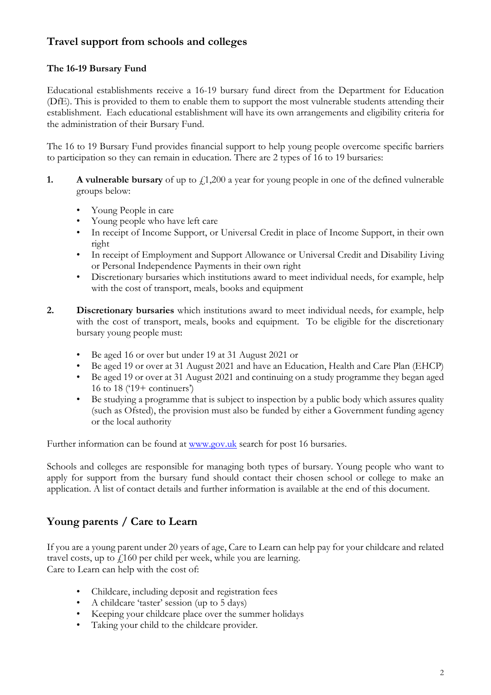# <span id="page-3-0"></span>**Travel support from schools and colleges**

### <span id="page-3-1"></span>**The 16-19 Bursary Fund**

Educational establishments receive a 16-19 bursary fund direct from the Department for Education (DfE). This is provided to them to enable them to support the most vulnerable students attending their establishment. Each educational establishment will have its own arrangements and eligibility criteria for the administration of their Bursary Fund.

The 16 to 19 Bursary Fund provides financial support to help young people overcome specific barriers to participation so they can remain in education. There are 2 types of 16 to 19 bursaries:

- **1. A vulnerable bursary** of up to  $f(1,200)$  a year for young people in one of the defined vulnerable groups below:
	- Young People in care
	- Young people who have left care
	- In receipt of Income Support, or Universal Credit in place of Income Support, in their own right
	- In receipt of Employment and Support Allowance or Universal Credit and Disability Living or Personal Independence Payments in their own right
	- Discretionary bursaries which institutions award to meet individual needs, for example, help with the cost of transport, meals, books and equipment
- **2. Discretionary bursaries** which institutions award to meet individual needs, for example, help with the cost of transport, meals, books and equipment. To be eligible for the discretionary bursary young people must:
	- Be aged 16 or over but under 19 at 31 August 2021 or
	- Be aged 19 or over at 31 August 2021 and have an Education, Health and Care Plan (EHCP)
	- Be aged 19 or over at 31 August 2021 and continuing on a study programme they began aged 16 to 18 ('19+ continuers')
	- Be studying a programme that is subject to inspection by a public body which assures quality (such as Ofsted), the provision must also be funded by either a Government funding agency or the local authority

Further information can be found at [www.gov.uk](http://www.gov.uk/) search for post 16 bursaries.

Schools and colleges are responsible for managing both types of bursary. Young people who want to apply for support from the bursary fund should contact their chosen school or college to make an application. A list of contact details and further information is available at the end of this document.

# <span id="page-3-2"></span>**Young parents / Care to Learn**

If you are a young parent under 20 years of age, Care to Learn can help pay for your childcare and related travel costs, up to  $f<sub>1</sub>160$  per child per week, while you are learning. Care to Learn can help with the cost of:

- Childcare, including deposit and registration fees
- A childcare 'taster' session (up to 5 days)
- Keeping your childcare place over the summer holidays
- Taking your child to the childcare provider.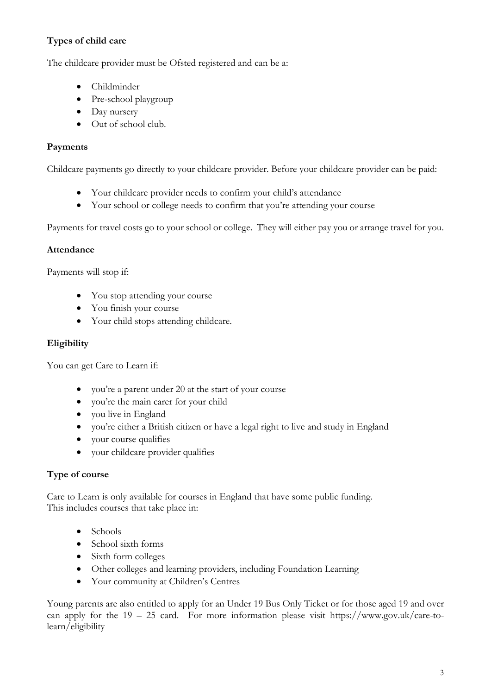## **Types of child care**

The childcare provider must be Ofsted registered and can be a:

- Childminder
- Pre-school playgroup
- Day nursery
- Out of school club.

#### **Payments**

Childcare payments go directly to your childcare provider. Before your childcare provider can be paid:

- Your childcare provider needs to confirm your child's attendance
- Your school or college needs to confirm that you're attending your course

Payments for travel costs go to your school or college. They will either pay you or arrange travel for you.

#### **Attendance**

Payments will stop if:

- You stop attending your course
- You finish your course
- Your child stops attending childcare.

#### **Eligibility**

You can get Care to Learn if:

- you're a parent under 20 at the start of your course
- you're the main carer for your child
- you live in England
- you're either a British citizen or have a legal right to live and study in England
- your course qualifies
- your childcare provider qualifies

#### **Type of course**

Care to Learn is only available for courses in England that have some public funding. This includes courses that take place in:

- Schools
- School sixth forms
- Sixth form colleges
- Other colleges and learning providers, including Foundation Learning
- Your community at Children's Centres

Young parents are also entitled to apply for an Under 19 Bus Only Ticket or for those aged 19 and over can apply for the 19 – 25 card. For more information please visit https://www.gov.uk/care-tolearn/eligibility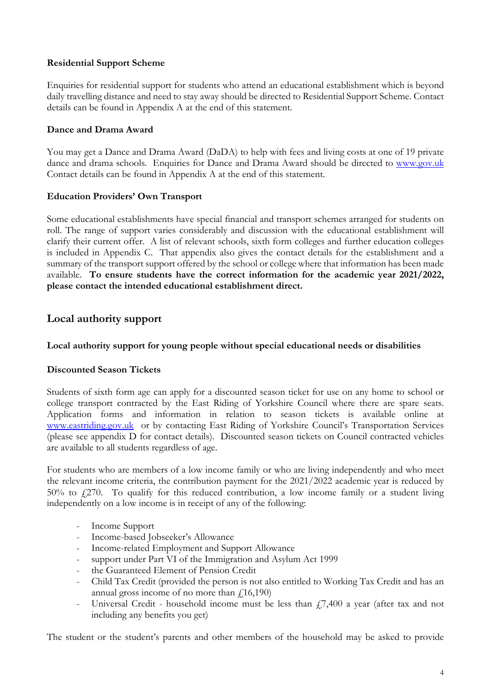#### **Residential Support Scheme**

Enquiries for residential support for students who attend an educational establishment which is beyond daily travelling distance and need to stay away should be directed to Residential Support Scheme. Contact details can be found in Appendix A at the end of this statement.

#### **Dance and Drama Award**

You may get a Dance and Drama Award (DaDA) to help with fees and living costs at one of 19 private dance and drama schools. Enquiries for Dance and Drama Award should be directed to [www.gov.uk](http://www.gov.uk/) Contact details can be found in Appendix A at the end of this statement.

#### **Education Providers' Own Transport**

Some educational establishments have special financial and transport schemes arranged for students on roll. The range of support varies considerably and discussion with the educational establishment will clarify their current offer. A list of relevant schools, sixth form colleges and further education colleges is included in Appendix C. That appendix also gives the contact details for the establishment and a summary of the transport support offered by the school or college where that information has been made available. **To ensure students have the correct information for the academic year 2021/2022, please contact the intended educational establishment direct.** 

## <span id="page-5-0"></span>**Local authority support**

#### <span id="page-5-1"></span>**Local authority support for young people without special educational needs or disabilities**

#### **Discounted Season Tickets**

Students of sixth form age can apply for a discounted season ticket for use on any home to school or college transport contracted by the East Riding of Yorkshire Council where there are spare seats. Application forms and information in relation to season tickets is available online at [www.eastriding.gov.uk](http://www.eastriding.gov.uk/hyperlinks/worddocuments/SeasonTickettermsandconditionsandform20102011.doc) or by contacting East Riding of Yorkshire Council's Transportation Services (please see appendix D for contact details). Discounted season tickets on Council contracted vehicles are available to all students regardless of age.

For students who are members of a low income family or who are living independently and who meet the relevant income criteria, the contribution payment for the 2021/2022 academic year is reduced by  $50\%$  to  $f(270)$ . To qualify for this reduced contribution, a low income family or a student living independently on a low income is in receipt of any of the following:

- Income Support
- Income-based Jobseeker's Allowance
- Income-related Employment and Support Allowance
- support under Part VI of the Immigration and Asylum Act 1999
- the Guaranteed Element of Pension Credit
- Child Tax Credit (provided the person is not also entitled to Working Tax Credit and has an annual gross income of no more than  $\ell$ 16,190)
- Universal Credit household income must be less than  $\ddot{P}$ , 400 a year (after tax and not including any benefits you get)

The student or the student's parents and other members of the household may be asked to provide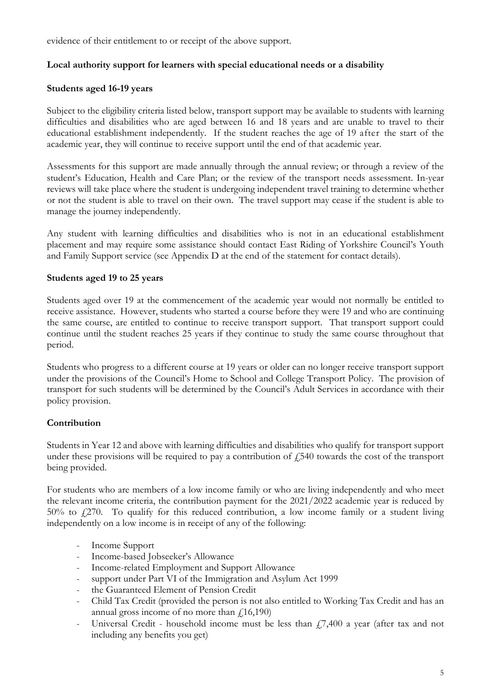evidence of their entitlement to or receipt of the above support.

#### <span id="page-6-0"></span>**Local authority support for learners with special educational needs or a disability**

#### **Students aged 16-19 years**

Subject to the eligibility criteria listed below, transport support may be available to students with learning difficulties and disabilities who are aged between 16 and 18 years and are unable to travel to their educational establishment independently. If the student reaches the age of 19 after the start of the academic year, they will continue to receive support until the end of that academic year.

Assessments for this support are made annually through the annual review; or through a review of the student's Education, Health and Care Plan; or the review of the transport needs assessment. In-year reviews will take place where the student is undergoing independent travel training to determine whether or not the student is able to travel on their own. The travel support may cease if the student is able to manage the journey independently.

Any student with learning difficulties and disabilities who is not in an educational establishment placement and may require some assistance should contact East Riding of Yorkshire Council's Youth and Family Support service (see Appendix D at the end of the statement for contact details).

#### **Students aged 19 to 25 years**

Students aged over 19 at the commencement of the academic year would not normally be entitled to receive assistance. However, students who started a course before they were 19 and who are continuing the same course, are entitled to continue to receive transport support. That transport support could continue until the student reaches 25 years if they continue to study the same course throughout that period.

Students who progress to a different course at 19 years or older can no longer receive transport support under the provisions of the Council's Home to School and College Transport Policy. The provision of transport for such students will be determined by the Council's Adult Services in accordance with their policy provision.

#### **Contribution**

Students in Year 12 and above with learning difficulties and disabilities who qualify for transport support under these provisions will be required to pay a contribution of  $f<sub>1</sub>540$  towards the cost of the transport being provided.

For students who are members of a low income family or who are living independently and who meet the relevant income criteria, the contribution payment for the 2021/2022 academic year is reduced by  $50\%$  to  $f(270)$ . To qualify for this reduced contribution, a low income family or a student living independently on a low income is in receipt of any of the following:

- Income Support
- Income-based Jobseeker's Allowance
- Income-related Employment and Support Allowance
- support under Part VI of the Immigration and Asylum Act 1999
- the Guaranteed Element of Pension Credit
- Child Tax Credit (provided the person is not also entitled to Working Tax Credit and has an annual gross income of no more than  $f(16,190)$
- Universal Credit household income must be less than  $f$ , 7,400 a year (after tax and not including any benefits you get)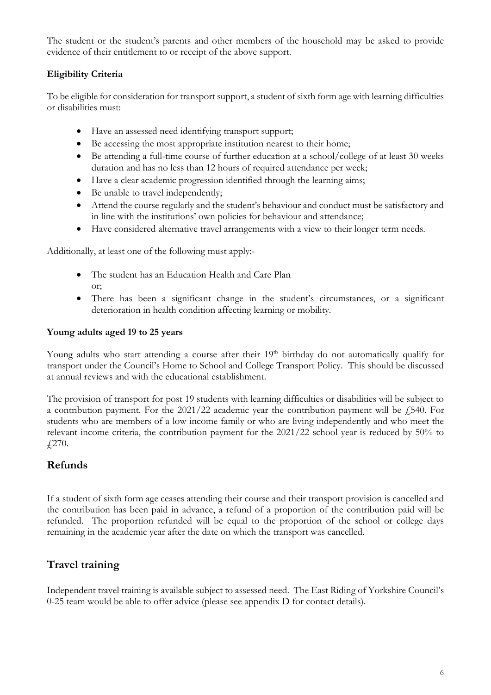The student or the student's parents and other members of the household may be asked to provide evidence of their entitlement to or receipt of the above support.

## **Eligibility Criteria**

To be eligible for consideration for transport support, a student of sixth form age with learning difficulties or disabilities must:

- Have an assessed need identifying transport support;
- Be accessing the most appropriate institution nearest to their home;
- Be attending a full-time course of further education at a school/college of at least 30 weeks duration and has no less than 12 hours of required attendance per week;
- Have a clear academic progression identified through the learning aims;
- Be unable to travel independently;
- Attend the course regularly and the student's behaviour and conduct must be satisfactory and in line with the institutions' own policies for behaviour and attendance;
- Have considered alternative travel arrangements with a view to their longer term needs.

Additionally, at least one of the following must apply:-

- The student has an Education Health and Care Plan or;
- There has been a significant change in the student's circumstances, or a significant deterioration in health condition affecting learning or mobility.

#### **Young adults aged 19 to 25 years**

Young adults who start attending a course after their 19<sup>th</sup> birthday do not automatically qualify for transport under the Council's Home to School and College Transport Policy. This should be discussed at annual reviews and with the educational establishment.

The provision of transport for post 19 students with learning difficulties or disabilities will be subject to a contribution payment. For the  $2021/22$  academic year the contribution payment will be  $\sqrt{540}$ . For students who are members of a low income family or who are living independently and who meet the relevant income criteria, the contribution payment for the 2021/22 school year is reduced by 50% to £270.

## <span id="page-7-0"></span>**Refunds**

If a student of sixth form age ceases attending their course and their transport provision is cancelled and the contribution has been paid in advance, a refund of a proportion of the contribution paid will be refunded. The proportion refunded will be equal to the proportion of the school or college days remaining in the academic year after the date on which the transport was cancelled.

# <span id="page-7-1"></span>**Travel training**

Independent travel training is available subject to assessed need. The East Riding of Yorkshire Council's 0-25 team would be able to offer advice (please see appendix D for contact details).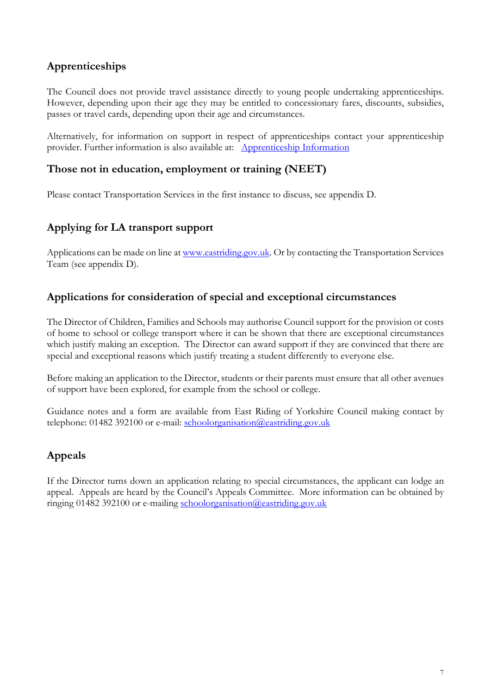# <span id="page-8-0"></span>**Apprenticeships**

The Council does not provide travel assistance directly to young people undertaking apprenticeships. However, depending upon their age they may be entitled to concessionary fares, discounts, subsidies, passes or travel cards, depending upon their age and circumstances.

Alternatively, for information on support in respect of apprenticeships contact your apprenticeship provider. Further information is also available at: [Apprenticeship Information](https://www.gov.uk/topic/further-education-skills/apprenticeships)

## <span id="page-8-1"></span>**Those not in education, employment or training (NEET)**

Please contact Transportation Services in the first instance to discuss, see appendix D.

## <span id="page-8-2"></span>**Applying for LA transport support**

Applications can be made on line a[t www.eastriding.gov.uk.](http://www.eastriding.gov.uk/) Or by contacting the Transportation Services Team (see appendix D).

# <span id="page-8-3"></span>**Applications for consideration of special and exceptional circumstances**

The Director of Children, Families and Schools may authorise Council support for the provision or costs of home to school or college transport where it can be shown that there are exceptional circumstances which justify making an exception. The Director can award support if they are convinced that there are special and exceptional reasons which justify treating a student differently to everyone else.

Before making an application to the Director, students or their parents must ensure that all other avenues of support have been explored, for example from the school or college.

Guidance notes and a form are available from East Riding of Yorkshire Council making contact by telephone: 01482 392100 or e-mail: schoolorganisation@eastriding.gov.uk

# <span id="page-8-4"></span>**Appeals**

If the Director turns down an application relating to special circumstances, the applicant can lodge an appeal. Appeals are heard by the Council's Appeals Committee. More information can be obtained by ringing 01482 392100 or e-mailing schoolorganisation@eastriding.gov.uk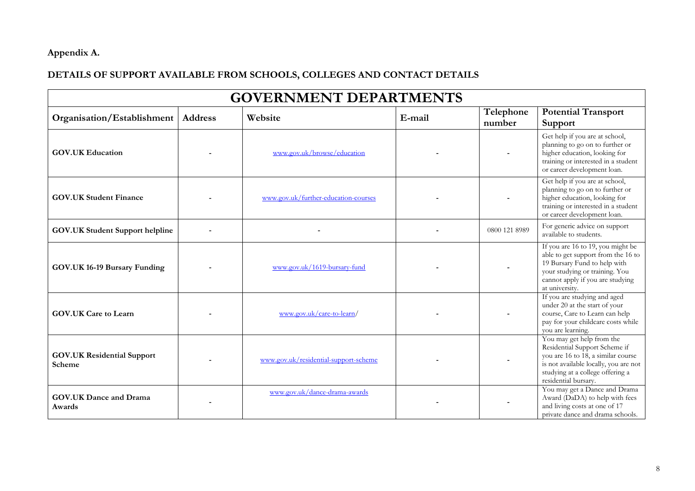# **Appendix A.**

# **DETAILS OF SUPPORT AVAILABLE FROM SCHOOLS, COLLEGES AND CONTACT DETAILS**

| <b>GOVERNMENT DEPARTMENTS</b>               |                |                                       |        |                     |                                                                                                                                                                                                       |  |
|---------------------------------------------|----------------|---------------------------------------|--------|---------------------|-------------------------------------------------------------------------------------------------------------------------------------------------------------------------------------------------------|--|
| Organisation/Establishment                  | <b>Address</b> | Website                               | E-mail | Telephone<br>number | <b>Potential Transport</b><br><b>Support</b>                                                                                                                                                          |  |
| <b>GOV.UK Education</b>                     |                | www.gov.uk/browse/education           |        |                     | Get help if you are at school,<br>planning to go on to further or<br>higher education, looking for<br>training or interested in a student<br>or career development loan.                              |  |
| <b>GOV.UK Student Finance</b>               |                | www.gov.uk/further-education-courses  |        |                     | Get help if you are at school,<br>planning to go on to further or<br>higher education, looking for<br>training or interested in a student<br>or career development loan.                              |  |
| <b>GOV.UK Student Support helpline</b>      |                |                                       |        | 0800 121 8989       | For generic advice on support<br>available to students.                                                                                                                                               |  |
| GOV.UK 16-19 Bursary Funding                |                | www.gov.uk/1619-bursary-fund          |        |                     | If you are 16 to 19, you might be<br>able to get support from the 16 to<br>19 Bursary Fund to help with<br>your studying or training. You<br>cannot apply if you are studying<br>at university.       |  |
| <b>GOV.UK Care to Learn</b>                 |                | www.gov.uk/care-to-learn/             |        |                     | If you are studying and aged<br>under 20 at the start of your<br>course, Care to Learn can help<br>pay for your childcare costs while<br>you are learning.                                            |  |
| <b>GOV.UK Residential Support</b><br>Scheme |                | www.gov.uk/residential-support-scheme |        |                     | You may get help from the<br>Residential Support Scheme if<br>you are 16 to 18, a similar course<br>is not available locally, you are not<br>studying at a college offering a<br>residential bursary. |  |
| <b>GOV.UK Dance and Drama</b><br>Awards     |                | www.gov.uk/dance-drama-awards         |        |                     | You may get a Dance and Drama<br>Award (DaDA) to help with fees<br>and living costs at one of 17<br>private dance and drama schools.                                                                  |  |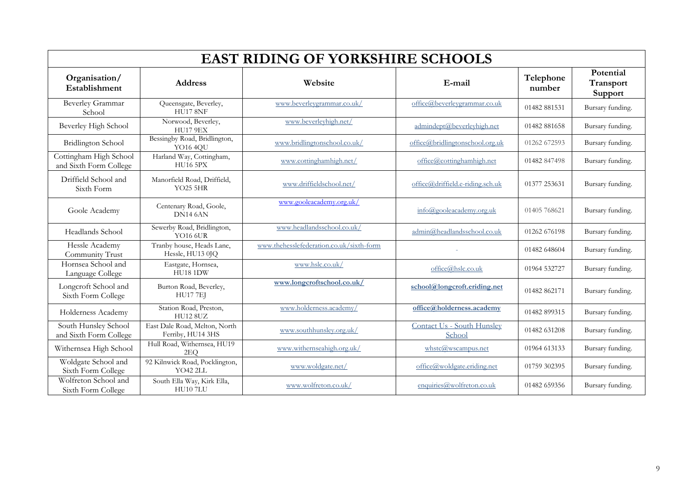| <b>EAST RIDING OF YORKSHIRE SCHOOLS</b>          |                                                    |                                          |                                      |                     |                                   |  |
|--------------------------------------------------|----------------------------------------------------|------------------------------------------|--------------------------------------|---------------------|-----------------------------------|--|
| Organisation/<br>Establishment                   | <b>Address</b>                                     | Website                                  | E-mail                               | Telephone<br>number | Potential<br>Transport<br>Support |  |
| Beverley Grammar<br>School                       | Queensgate, Beverley,<br><b>HU17 8NF</b>           | www.beverleygrammar.co.uk/               | office@beverlevgrammar.co.uk         | 01482 881531        | Bursary funding.                  |  |
| Beverley High School                             | Norwood, Beverley,<br><b>HU17 9EX</b>              | www.beverleyhigh.net/                    | admindept@beverleyhigh.net           | 01482 881658        | Bursary funding.                  |  |
| <b>Bridlington School</b>                        | Bessingby Road, Bridlington,<br><b>YO16 4QU</b>    | www.bridlingtonschool.co.uk/             | office@bridlingtonschool.org.uk      | 01262 672593        | Bursary funding.                  |  |
| Cottingham High School<br>and Sixth Form College | Harland Way, Cottingham,<br><b>HU16 5PX</b>        | www.cottinghamhigh.net/                  | office@cottinghamhigh.net            | 01482 847498        | Bursary funding.                  |  |
| Driffield School and<br>Sixth Form               | Manorfield Road, Driffield,<br><b>YO25 5HR</b>     | www.driffieldschool.net/                 | office@driffield.e-riding.sch.uk     | 01377 253631        | Bursary funding.                  |  |
| Goole Academy                                    | Centenary Road, Goole,<br>DN14 6AN                 | www.gooleacademy.org.uk/                 | $info(\partial goo)$ eacademy.org.uk | 01405 768621        | Bursary funding.                  |  |
| Headlands School                                 | Sewerby Road, Bridlington,<br>YO16 6UR             | www.headlandsschool.co.uk/               | admin@headlandsschool.co.uk          | 01262 676198        | Bursary funding.                  |  |
| Hessle Academy<br>Community Trust                | Tranby house, Heads Lane,<br>Hessle, HU13 0JQ      | www.thehesslefederation.co.uk/sixth-form |                                      | 01482 648604        | Bursary funding.                  |  |
| Hornsea School and<br>Language College           | Eastgate, Hornsea,<br><b>HU18 1DW</b>              | www.hslc.co.uk/                          | office@hslc.co.uk                    | 01964 532727        | Bursary funding.                  |  |
| Longcroft School and<br>Sixth Form College       | Burton Road, Beverley,<br><b>HU17 7EJ</b>          | www.longcroftschool.co.uk/               | school@longcroft.eriding.net         | 01482 862171        | Bursary funding.                  |  |
| Holderness Academy                               | Station Road, Preston,<br><b>HU12 8UZ</b>          | www.holderness.academy/                  | office@holderness.academy            | 01482 899315        | Bursary funding.                  |  |
| South Hunsley School<br>and Sixth Form College   | East Dale Road, Melton, North<br>Ferriby, HU14 3HS | www.southhunsley.org.uk/                 | Contact Us - South Hunsley<br>School | 01482 631208        | Bursary funding.                  |  |
| Withernsea High School                           | Hull Road, Withernsea, HU19<br>2EO                 | www.withernseahigh.org.uk/               | $whstc@$ wscampus.net                | 01964 613133        | Bursary funding.                  |  |
| Woldgate School and<br>Sixth Form College        | 92 Kilnwick Road, Pocklington,<br><b>YO42 2LL</b>  | www.woldgate.net/                        | office@woldgate.eriding.net          | 01759 302395        | Bursary funding.                  |  |
| Wolfreton School and<br>Sixth Form College       | South Ella Way, Kirk Ella,<br><b>HU10 7LU</b>      | www.wolfreton.co.uk/                     | enquiries $@$ wolfreton.co.uk        | 01482 659356        | Bursary funding.                  |  |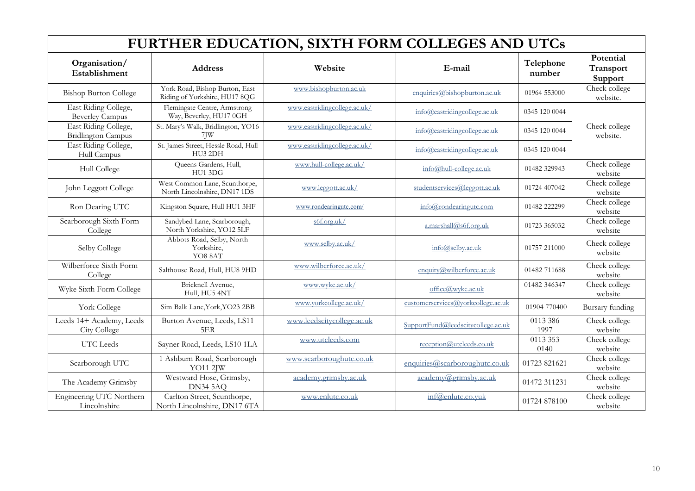| FURTHER EDUCATION, SIXTH FORM COLLEGES AND UTCs   |                                                                 |                              |                                    |                     |                                   |
|---------------------------------------------------|-----------------------------------------------------------------|------------------------------|------------------------------------|---------------------|-----------------------------------|
| Organisation/<br>Establishment                    | <b>Address</b>                                                  | Website                      | E-mail                             | Telephone<br>number | Potential<br>Transport<br>Support |
| <b>Bishop Burton College</b>                      | York Road, Bishop Burton, East<br>Riding of Yorkshire, HU17 8QG | www.bishopburton.ac.uk       | enquiries@bishopburton.ac.uk       | 01964 553000        | Check college<br>website.         |
| East Riding College,<br><b>Beverley Campus</b>    | Flemingate Centre, Armstrong<br>Way, Beverley, HU17 0GH         | www.eastridingcollege.ac.uk/ | info@eastridingcollege.ac.uk       | 0345 120 0044       |                                   |
| East Riding College,<br><b>Bridlington Campus</b> | St. Mary's Walk, Bridlington, YO16<br>7JW                       | www.eastridingcollege.ac.uk/ | info@eastridingcollege.ac.uk       | 0345 120 0044       | Check college<br>website.         |
| East Riding College,<br>Hull Campus               | St. James Street, Hessle Road, Hull<br>HU3 2DH                  | www.eastridingcollege.ac.uk/ | info@eastridingcollege.ac.uk       | 0345 120 0044       |                                   |
| Hull College                                      | Queens Gardens, Hull,<br>HU1 3DG                                | www.hull-college.ac.uk/      | info@hull-college.ac.uk            | 01482 329943        | Check college<br>website          |
| John Leggott College                              | West Common Lane, Scunthorpe,<br>North Lincolnshire, DN17 1DS   | www.leggott.ac.uk/           | studentservices@leggott.ac.uk      | 01724 407042        | Check college<br>website          |
| Ron Dearing UTC                                   | Kingston Square, Hull HU1 3HF                                   | www.rondearingutc.com/       | info@rondearingutc.com             | 01482 222299        | Check college<br>website          |
| Scarborough Sixth Form<br>College                 | Sandybed Lane, Scarborough,<br>North Yorkshire, YO12 5LF        | $\frac{6f.org.uk}{ }$        | a.marshall@s6f.org.uk              | 01723 365032        | Check college<br>website          |
| Selby College                                     | Abbots Road, Selby, North<br>Yorkshire,<br>YO8 8AT              | www.selby.ac.uk/             | info@selbv.ac.uk                   | 01757 211000        | Check college<br>website          |
| Wilberforce Sixth Form<br>College                 | Salthouse Road, Hull, HU8 9HD                                   | www.wilberforce.ac.uk/       | enquiry@wilberforce.ac.uk          | 01482 711688        | Check college<br>website          |
| Wyke Sixth Form College                           | Bricknell Avenue,<br>Hull, HU5 4NT                              | www.wyke.ac.uk/              | office@wyke.ac.uk                  | 01482 346347        | Check college<br>website          |
| York College                                      | Sim Balk Lane, York, YO23 2BB                                   | www.vorkcollege.ac.uk/       | customerservices@vorkcollege.ac.uk | 01904 770400        | Bursary funding                   |
| Leeds 14+ Academy, Leeds<br>City College          | Burton Avenue, Leeds, LS11<br>5ER                               | www.leedscitycollege.ac.uk   | SupportFund@leedscitycollege.ac.uk | 0113 386<br>1997    | Check college<br>website          |
| UTC Leeds                                         | Sayner Road, Leeds, LS10 1LA                                    | www.utcleeds.com             | reception@utcleeds.co.uk           | 0113 353<br>0140    | Check college<br>website          |
| Scarborough UTC                                   | 1 Ashburn Road, Scarborough<br><b>YO11 2JW</b>                  | www.scarboroughutc.co.uk     | enquiries@scarboroughutc.co.uk     | 01723 821621        | Check college<br>website          |
| The Academy Grimsby                               | Westward Hose, Grimsby,<br>DN345AQ                              | academy.grimsby.ac.uk        | $academy(\partial, grimsby.ac.uk)$ | 01472 311231        | Check college<br>website          |
| Engineering UTC Northern<br>Lincolnshire          | Carlton Street, Scunthorpe,<br>North Lincolnshire, DN17 6TA     | www.enlutc.co.uk             | inf@enlutc.co.yuk                  | 01724 878100        | Check college<br>website          |